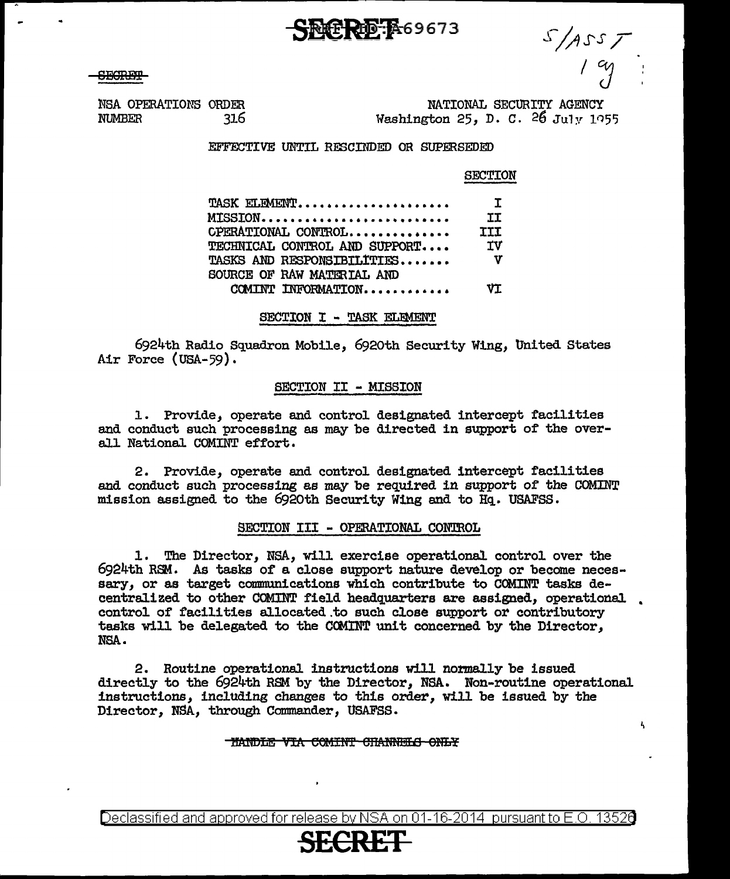**SECRET** 

 $s/$ Ass $r$ 

k,

NATIONAL SECURITY AGENCY Washington 25, D. C.  $26 \text{ July } 1055$ 

'.MSA OPERATIONS ORDER NUMBER 316

EFFECTIVE UNTIL RESCINDED OR SUPERSEDED

D-A69673

## SECTION

| TASK ELEMENT                  | $\mathbf{L}$ |
|-------------------------------|--------------|
| MTSSTON                       | ΙT           |
| CPERATIONAL CONTROL           | <b>TIT</b>   |
| TECHNICAL CONTROL AND SUPPORT | ΤV           |
| TASKS AND RESPONSIBILITIES    | v            |
| SOURCE OF RAW MATERIAL AND    |              |
| COMINT INFORMATION            | v۳           |

## SECTION I - TASK ELEMENT

6924th Radio Squadron Mobile, 692oth Security Wing, United States Air Force (USA-59).

## SECTION II - MISSION

1. Provide, operate and control designated intercept facilities and conduct such processing as may be directed in support of the overaJ.l National COMINT effort.

2. Provide, operate and control designated intercept facilities and conduct such processing as may be required in support of the COMINT mission assigned to the 6920th Security Wing and to Hq. USAFSS.

### SECTION III - OPERATIONAL CONTROL

1. The Director, NSA, will exercise operational control over the  $6924th$  RSM. As tasks of a close support nature develop or become necessary, or as target communications which contribute to COMINT tasks decentralized to other COMINT field headquarters are assigned, operational. • control of facilities al.located.to such close support or contributory tasks will be delegated to the COMINT unit concerned by the Director, NSA.

2. Routine operational instructions will normally be issued directly to the 6924th RSM by the Director, NSA. Non-routine operational instructions, including changes to this order, will be issued by the Director, NSA, through Commander, USAFSS.

#### TIANDLE VIA COMINT CHANNELS ONLY

Declassified and approved for release by NSA on 01-16-2014 pursuantto E .0. 1352a

# **SECRET**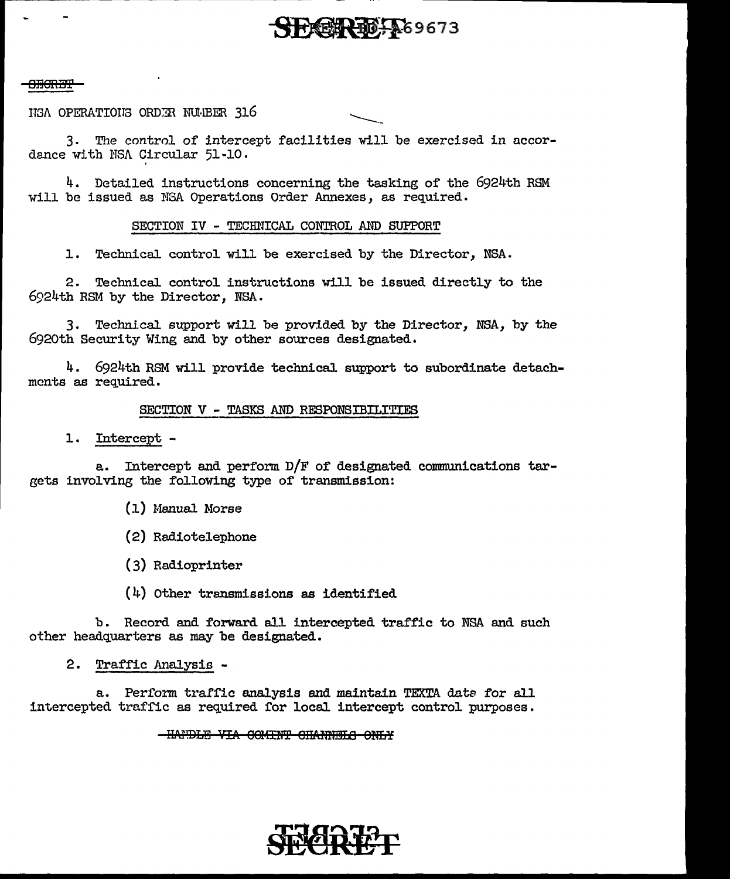## PREER TO TAS 9673

## <del>313312.312</del>

ISA OPERATIONS ORDER NUMBER 316

3. The control of intercept facilities will be exercised in accordance with NSA Circular 51-10.

4. Detailed instructions concerning the tasking of the 6924th RSM will be issued as NGA Operations Order Annexes, as required.

## SECTION IV - TECHNICAL CONTROL AND SUPPORT

Technical control will be exercised by the Director, NSA.  $1.1$ 

Technical control instructions will be issued directly to the  $2.$ 6924th RSM by the Director. NSA.

3. Technical support will be provided by the Director, NSA, by the 6920th Security Wing and by other sources designated.

4. 6924th RSM will provide technical support to subordinate detachments as required.

## SECTION V - TASKS AND RESPONSIBILITIES

 $\mathbf{1}$ . Intercept -

a. Intercept and perform D/F of designated communications targets involving the following type of transmission:

- (1) Manual Morse
- (2) Radiotelephone
- (3) Radioprinter
- $(4)$  Other transmissions as identified

b. Record and forward all intercepted traffic to NSA and such other headquarters as may be designated.

2. Traffic Analysis -

a. Perform traffic analysis and maintain TEXTA data for all intercepted traffic as required for local intercept control purposes.

## -HANDLE VIA COMINT CHANNELS ONLY

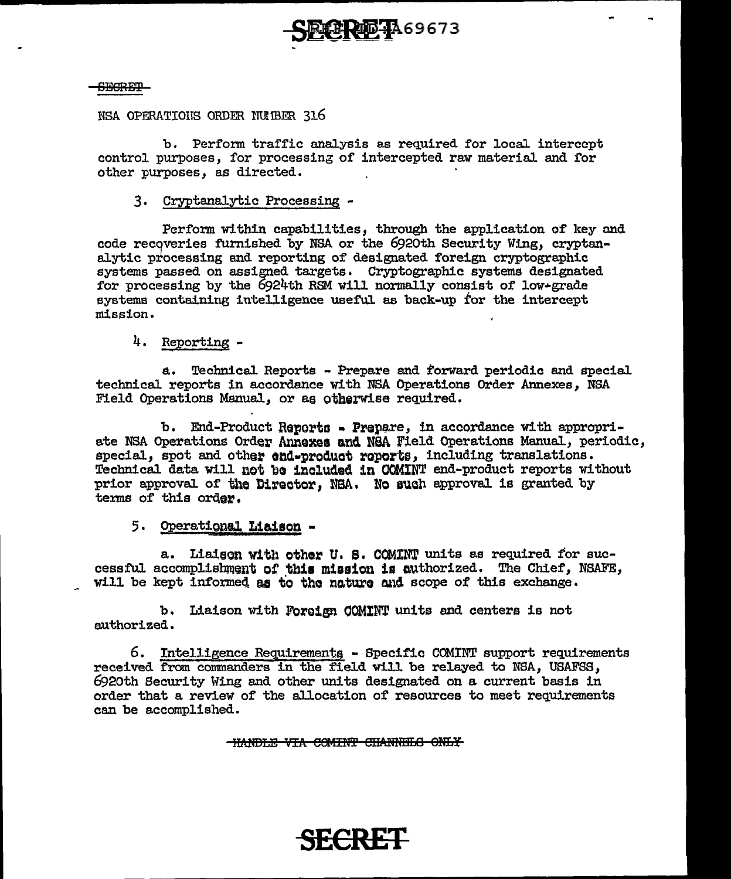

## SESRE'±'

NSA OPERATIOIS ORDER IUJBER 316

b. Perform traffic analysis as required for loca1 intercept control purposes, for processing of intercepted raw material and for other purposes, as directed.

## 3. Cryptanalytic Processing -

Perform within capabilities, through the application of key and code recgveries furnished by NSA or the 692oth Security Wing, cryptanalytic processing and reporting of designated foreign cryptographic systems passed on assigned targets. Cryptographic systems designated for processing by the 6924th RSM will normally consist of low•grade systems containing intelligence useful as back-up for the intercept mission.

## 4. Reporting -

a. TechnicaJ. Reports - Prepare and :forward periodic and speciaJ. technicaJ. reports in accordance with NSA Operations Order Annexes, NSA Field Operations Manual, or as otherwise required.

b. End-Product Reports - Prepare, in accordance with appropriate NSA Operations Order Annexes and NSA Field Operations Manual, periodic, special, spot and other end-product reports, including translations. Technical data will not be included in COMINT end-product reports without prior approval of the Director, NBA. No such approval is granted by terms of this order.

## 5. Operational Liaison -

a. Liaigon with other U. S. COMINT units as required for successful accomplishment of this mission is authorized. The Chief, NSAFE, will be kept informed as to the nature and scope of this exchange.

b. Liaison with Foreign COMINT units and centers is not authorized.

6. Intelligence Requirementq - Specific COMINT support requirements received from commanders in the field will be relayed to NSA, USAFSS, 692oth Security Wing and other units designated on a current basis in order that a review of the a1location of resources to meet requirements can be accomplished.

THANDLE VIA COMINT CHANNELS ONLY

**SECRET**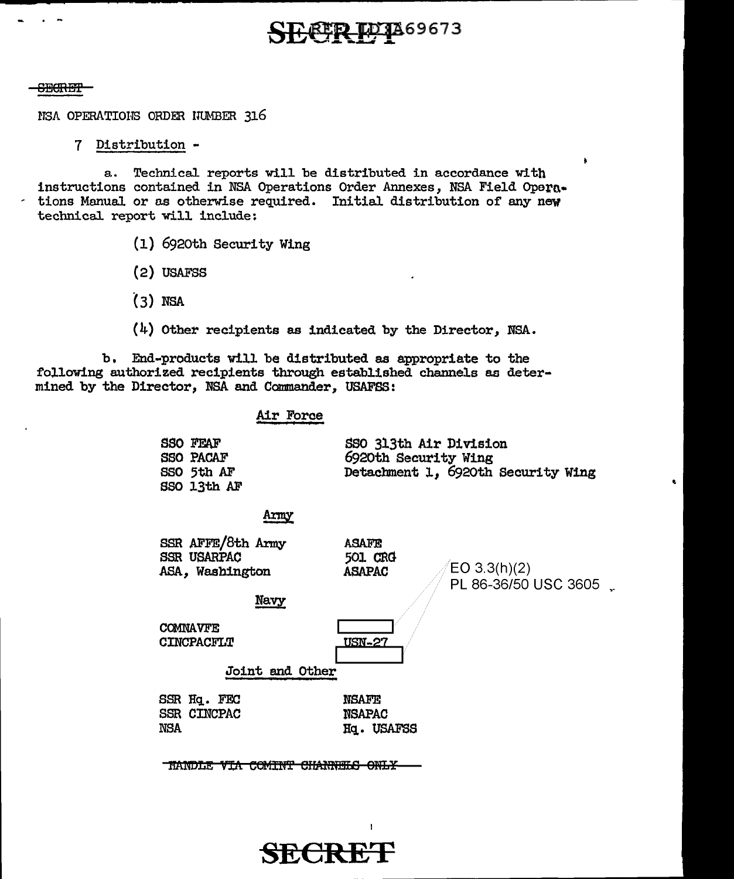# **REP LO 1**869673

### **SECRET**

. -

NSA OPERATIONS ORDER INMBER 316

## 7 Distribution -

a. Technical reports will be distributed in accordance with instructions contained in NSA Operations Order Annexes, NSA Field Opera- $\cdot$  tions Manual or as otherwise required. Initial distribution of any new technical report will include:

- (1) 692oth Security Wing
- (2) USAFSS
- (3) NSA
- (4) Other recipients as indicated by the Director, NSA.

b, End-products will be distributed as appropriate to the following authorized recipients through established channels aa determined by the Director, NSA and Commander, USAFSS:

### Air Force

| <b>SSO FEAF</b>  | SSO 313th Air Division             |
|------------------|------------------------------------|
| <b>SSO PACAF</b> | 6920th Security Wing               |
| SSO 5th AF       | Detachment 1, 6920th Security Wing |
| SSO 13th AF      |                                    |

## Army

| SSR AFFE/8th Army<br><b>SSR USARPAC</b> | ASAFE<br>501 CRG |                                              |
|-----------------------------------------|------------------|----------------------------------------------|
| ASA, Washington                         | <b>ASAPAC</b>    | $\mathcal{O}(E_0(3.3(h))(2))$                |
|                                         |                  | $\mathbb{Z}/\mathbb{Z}$ PL 86-36/50 USC 3605 |

Navy

**COMNAVFE CINCPACFLT**   $\overline{\Box}$ USN-27

Joint end Other

SSR Hq. FEC SSR CINCPAC NSA

**NSAFE** NSAPAC Hq. tJSAFSS

TRANDLE VIA COMINT CHANNELS ONLY